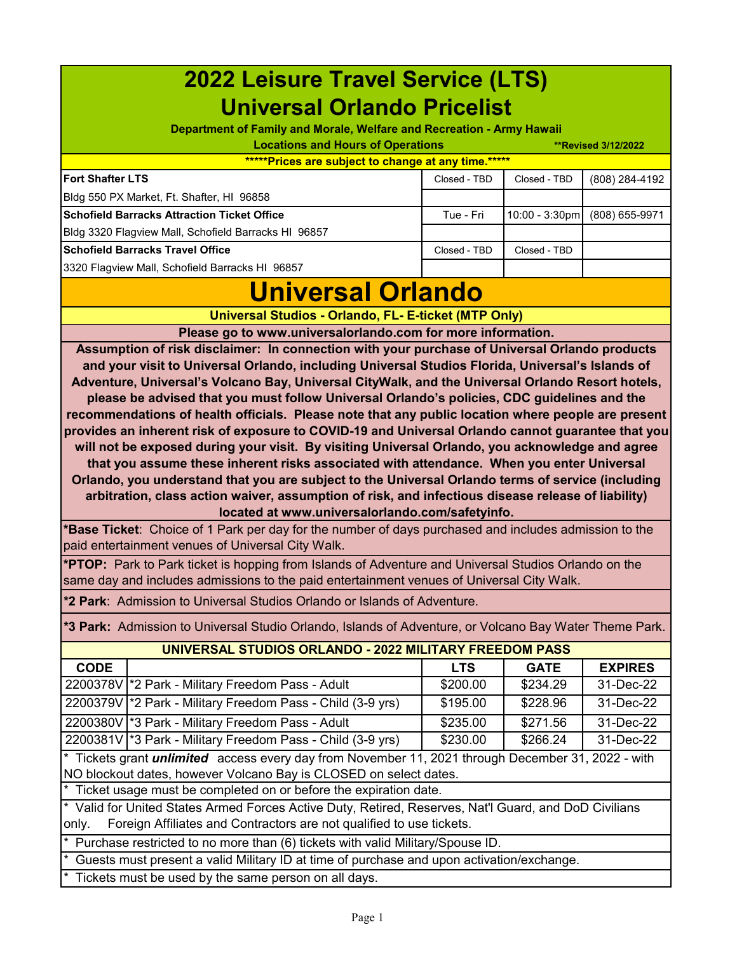| <b>2022 Leisure Travel Service (LTS)</b>                                                                                                                                                                |              |                |                |  |  |  |  |
|---------------------------------------------------------------------------------------------------------------------------------------------------------------------------------------------------------|--------------|----------------|----------------|--|--|--|--|
| <b>Universal Orlando Pricelist</b>                                                                                                                                                                      |              |                |                |  |  |  |  |
| Department of Family and Morale, Welfare and Recreation - Army Hawaii                                                                                                                                   |              |                |                |  |  |  |  |
| <b>Locations and Hours of Operations</b><br><b>**Revised 3/12/2022</b>                                                                                                                                  |              |                |                |  |  |  |  |
| *****Prices are subject to change at any time.*****                                                                                                                                                     |              |                |                |  |  |  |  |
| <b>Fort Shafter LTS</b>                                                                                                                                                                                 | Closed - TBD | Closed - TBD   | (808) 284-4192 |  |  |  |  |
| Bldg 550 PX Market, Ft. Shafter, HI 96858                                                                                                                                                               |              |                |                |  |  |  |  |
| <b>Schofield Barracks Attraction Ticket Office</b>                                                                                                                                                      | Tue - Fri    | 10:00 - 3:30pm | (808) 655-9971 |  |  |  |  |
| Bldg 3320 Flagview Mall, Schofield Barracks HI 96857                                                                                                                                                    |              |                |                |  |  |  |  |
| <b>Schofield Barracks Travel Office</b>                                                                                                                                                                 | Closed - TBD | Closed - TBD   |                |  |  |  |  |
| 3320 Flagview Mall, Schofield Barracks HI 96857                                                                                                                                                         |              |                |                |  |  |  |  |
| <b>Universal Orlando</b>                                                                                                                                                                                |              |                |                |  |  |  |  |
| Universal Studios - Orlando, FL- E-ticket (MTP Only)                                                                                                                                                    |              |                |                |  |  |  |  |
| Please go to www.universalorlando.com for more information.                                                                                                                                             |              |                |                |  |  |  |  |
| Assumption of risk disclaimer: In connection with your purchase of Universal Orlando products                                                                                                           |              |                |                |  |  |  |  |
| and your visit to Universal Orlando, including Universal Studios Florida, Universal's Islands of                                                                                                        |              |                |                |  |  |  |  |
| Adventure, Universal's Volcano Bay, Universal CityWalk, and the Universal Orlando Resort hotels,                                                                                                        |              |                |                |  |  |  |  |
| please be advised that you must follow Universal Orlando's policies, CDC guidelines and the                                                                                                             |              |                |                |  |  |  |  |
| recommendations of health officials. Please note that any public location where people are present<br>provides an inherent risk of exposure to COVID-19 and Universal Orlando cannot guarantee that you |              |                |                |  |  |  |  |
| will not be exposed during your visit. By visiting Universal Orlando, you acknowledge and agree                                                                                                         |              |                |                |  |  |  |  |
| that you assume these inherent risks associated with attendance. When you enter Universal                                                                                                               |              |                |                |  |  |  |  |
| Orlando, you understand that you are subject to the Universal Orlando terms of service (including                                                                                                       |              |                |                |  |  |  |  |
| arbitration, class action waiver, assumption of risk, and infectious disease release of liability)                                                                                                      |              |                |                |  |  |  |  |
| located at www.universalorlando.com/safetyinfo.                                                                                                                                                         |              |                |                |  |  |  |  |
| *Base Ticket: Choice of 1 Park per day for the number of days purchased and includes admission to the                                                                                                   |              |                |                |  |  |  |  |
|                                                                                                                                                                                                         |              |                |                |  |  |  |  |
| paid entertainment venues of Universal City Walk.                                                                                                                                                       |              |                |                |  |  |  |  |
| *PTOP: Park to Park ticket is hopping from Islands of Adventure and Universal Studios Orlando on the<br>same day and includes admissions to the paid entertainment venues of Universal City Walk.       |              |                |                |  |  |  |  |
| *2 Park: Admission to Universal Studios Orlando or Islands of Adventure.                                                                                                                                |              |                |                |  |  |  |  |
| *3 Park: Admission to Universal Studio Orlando, Islands of Adventure, or Volcano Bay Water Theme Park.                                                                                                  |              |                |                |  |  |  |  |
| UNIVERSAL STUDIOS ORLANDO - 2022 MILITARY FREEDOM PASS                                                                                                                                                  |              |                |                |  |  |  |  |
| <b>CODE</b>                                                                                                                                                                                             | <b>LTS</b>   | <b>GATE</b>    | <b>EXPIRES</b> |  |  |  |  |
| 2200378V  *2 Park - Military Freedom Pass - Adult                                                                                                                                                       | \$200.00     | \$234.29       | 31-Dec-22      |  |  |  |  |
| 2200379V   * 2 Park - Military Freedom Pass - Child (3-9 yrs)                                                                                                                                           | \$195.00     | \$228.96       | 31-Dec-22      |  |  |  |  |
| 2200380V 3 Park - Military Freedom Pass - Adult                                                                                                                                                         | \$235.00     | \$271.56       | 31-Dec-22      |  |  |  |  |
| 2200381V 3 Park - Military Freedom Pass - Child (3-9 yrs)                                                                                                                                               | \$230.00     | \$266.24       | 31-Dec-22      |  |  |  |  |
| * Tickets grant <i>unlimited</i> access every day from November 11, 2021 through December 31, 2022 - with                                                                                               |              |                |                |  |  |  |  |
| NO blockout dates, however Volcano Bay is CLOSED on select dates.                                                                                                                                       |              |                |                |  |  |  |  |
| Ticket usage must be completed on or before the expiration date.                                                                                                                                        |              |                |                |  |  |  |  |
| * Valid for United States Armed Forces Active Duty, Retired, Reserves, Nat'l Guard, and DoD Civilians<br>Foreign Affiliates and Contractors are not qualified to use tickets.<br>only.                  |              |                |                |  |  |  |  |
|                                                                                                                                                                                                         |              |                |                |  |  |  |  |
| Purchase restricted to no more than (6) tickets with valid Military/Spouse ID.<br>Guests must present a valid Military ID at time of purchase and upon activation/exchange.                             |              |                |                |  |  |  |  |